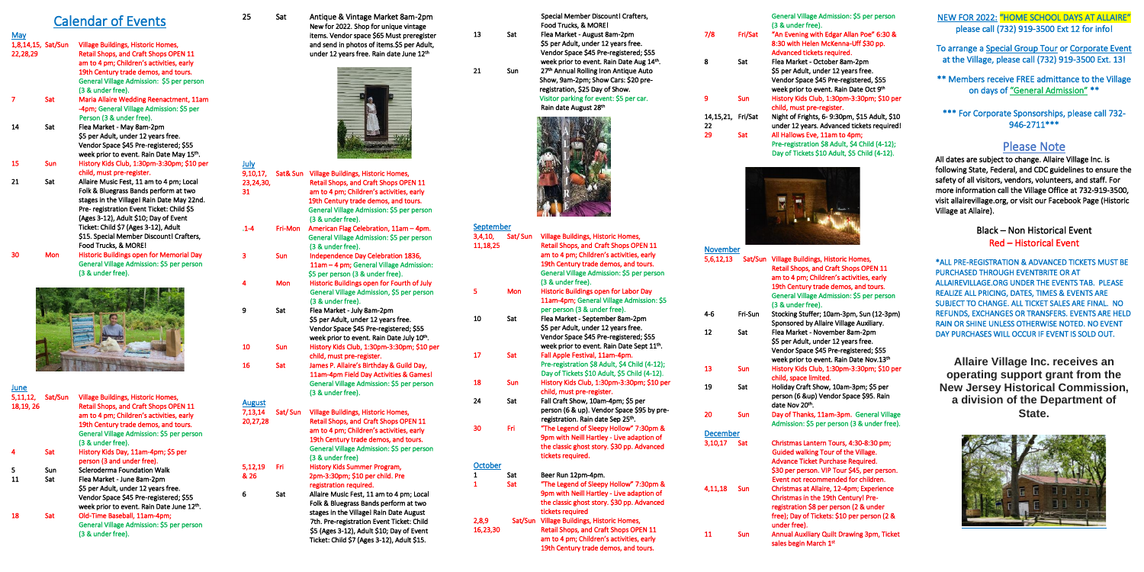## Calendar of Events

#### May<br>1,8,14,15, Sat/Sun 1,8,14,15, Sat/Sun Village Buildings, Historic Homes, Retail Shops, and Craft Shops OPEN 11 am to 4 pm; Children's activities, early 19th Century trade demos, and tours. General Village Admission: \$5 per person (3 & under free).<br>Sat Maria Allaire Wee 7 Sat Maria Allaire Wedding Reenactment, 11am -4pm; General Village Admission: \$5 per Person (3 & under free). 14 Sat Flea Market - May 8am-2pm \$5 per Adult, under 12 years free. Vendor Space \$45 Pre-registered; \$55 week prior to event. Rain Date May 15<sup>th</sup>. 15 Sun History Kids Club, 1:30pm-3:30pm; \$10 per child, must pre-register. 21 Sat Allaire Music Fest, 11 am to 4 pm; Local Folk & Bluegrass Bands perform at two

 stages in the Village! Rain Date May 22nd. Pre- registration Event Ticket: Child \$5 (Ages 3-12), Adult \$10; Day of Event Ticket: Child \$7 (Ages 3-12), Adult \$15. Special Member Discount! Crafters, Food Trucks, & MORE! 30 Mon Historic Buildings open for Memorial Day General Village Admission: \$5 per person



(3 & under free).

25 Sat Antique & Vintage Market 8am-2pm New for 2022. Shop for unique vintage items. Vendor space \$65 Must preregister and send in photos of items.\$5 per Adult, under 12 years free. Rain date June 12th



| June                   |            |                                                                                                                                                                                                                                                 |                                      |         |
|------------------------|------------|-------------------------------------------------------------------------------------------------------------------------------------------------------------------------------------------------------------------------------------------------|--------------------------------------|---------|
| 5,11,12,<br>18, 19, 26 | Sat/Sun    | <b>Village Buildings, Historic Homes,</b><br><b>Retail Shops, and Craft Shops OPEN 11</b><br>am to 4 pm; Children's activities, early<br>19th Century trade demos, and tours.<br>General Village Admission: \$5 per person<br>(3 & under free). | <b>August</b><br>7,13,14<br>20,27,28 | Sat/Sur |
| 4                      | <b>Sat</b> | History Kids Day, 11am-4pm; \$5 per<br>person (3 and under free).                                                                                                                                                                               |                                      |         |
| 5<br>11                | Sun<br>Sat | Scleroderma Foundation Walk<br>Flea Market - June 8am-2pm                                                                                                                                                                                       | 5,12,19<br>& 26                      | Fri     |
|                        |            | \$5 per Adult, under 12 years free.<br>Vendor Space \$45 Pre-registered; \$55<br>week prior to event. Rain Date June 12th.                                                                                                                      | 6                                    | Sat     |
| 18                     | <b>Sat</b> | Old-Time Baseball, 11am-4pm;<br>General Village Admission: \$5 per person<br>(3 & under free).                                                                                                                                                  |                                      |         |

#### September<br>3,4,10, Sat/Sun 3,4,10, Sat/ Sun Village Buildings, Historic Homes, Retail Shops, and Craft Shops OPEN 11 am to 4 pm; Children's activities, early 19th Century trade demos, and tours. General Village Admission: \$5 per person (3 & under free). Mon Historic Buildings open for Labor Day 11am-4pm; General Village Admission: \$5 per person (3 & under free). 10 Sat Flea Market - September 8am-2pm \$5 per Adult, under 12 years free. Vendor Space \$45 Pre-registered; \$55 week prior to event. Rain Date Sept 11<sup>th</sup>. 17 Sat Fall Apple Festival, 11am-4pm. Pre-registration \$8 Adult, \$4 Child (4-12); Day of Tickets \$10 Adult, \$5 Child (4-12). child, must pre-register. 24 Sat Fall Craft Show, 10am-4pm; \$5 per

| July      |         |                                             |
|-----------|---------|---------------------------------------------|
| 9,10,17,  |         | Sat& Sun Village Buildings, Historic Homes, |
| 23,24,30, |         | Retail Shops, and Craft Shops OPEN 11       |
| 31        |         | am to 4 pm; Children's activities, early    |
|           |         | 19th Century trade demos, and tours.        |
|           |         | General Village Admission: \$5 per person   |
|           |         | (3 & under free).                           |
| $.1 - 4$  | Fri-Mon | American Flag Celebration, 11am - 4pm.      |
|           |         | General Village Admission: \$5 per person   |
|           |         | (3 & under free).                           |
| 3         | Sun     | Independence Day Celebration 1836,          |
|           |         | 11am - 4 pm; General Village Admission:     |
|           |         | \$5 per person (3 & under free).            |
| 4         | Mon     | Historic Buildings open for Fourth of July  |
|           |         | General Village Admission, \$5 per person   |
|           |         | (3 & under free).                           |
| 9         | Sat     | Flea Market - July 8am-2pm                  |
|           |         | \$5 per Adult, under 12 years free.         |
|           |         | Vendor Space \$45 Pre-registered; \$55      |
|           |         | week prior to event. Rain Date July 10th.   |
| 10        | Sun     | History Kids Club, 1:30pm-3:30pm; \$10 per  |
|           |         | child, must pre-register.                   |
| 16        | Sat     | James P. Allaire's Birthday & Guild Day,    |
|           |         | 11am-4pm Field Day Activities & Games!      |
|           |         | General Village Admission: \$5 per person   |
|           |         | (3 & under free).                           |
| August    |         |                                             |
| 7,13,14   | Sat/Sun | <b>Village Buildings, Historic Homes,</b>   |
| 20,27,28  |         | Retail Shops, and Craft Shops OPEN 11       |
|           |         | am to 4 pm; Children's activities, early    |
|           |         | 19th Century trade demos, and tours.        |
|           |         | General Village Admission: \$5 per person   |
|           |         | (3 & under free)                            |
| 5,12,19   | Fri     | History Kids Summer Program,                |
| & 26      |         | 2pm-3:30pm; \$10 per child. Pre             |
|           |         | registration required.                      |
| 6         | Sat     | Allaire Music Fest, 11 am to 4 pm; Local    |
|           |         | Folk & Bluegrass Bands perform at two       |
|           |         | stages in the Village! Rain Date August     |
|           |         |                                             |

 7th. Pre-registration Event Ticket: Child \$5 (Ages 3-12), Adult \$10; Day of Event Ticket: Child \$7 (Ages 3-12), Adult \$15.

|    |             | Special Member Discount! Crafters,       |
|----|-------------|------------------------------------------|
|    |             | Food Trucks, & MORE!                     |
| 13 | Sat         | Flea Market - August 8am-2pm             |
|    |             | \$5 per Adult, under 12 years free.      |
|    |             | Vendor Space \$45 Pre-registered; \$55   |
|    |             | week prior to event. Rain Date Aug 14th. |
| าง | <b>C.IL</b> | azth Annual Dalling Isan Antique Auto    |

<sup>th</sup> Annual Rolling Iron Antique Auto Show, 9am-2pm; Show Cars: \$20 pre registration, \$25 Day of Show. Visitor parking for event: \$5 per car. Rain date August 28<sup>th</sup>



21 Sun

**October** 

16,23,30

\*\*\* For Corporate Sponsorships, please call 732-946-2711\*\*\*

|          |     | Day of Tickets \$10 Adult, \$5 Child (4-12). |
|----------|-----|----------------------------------------------|
| 18       | Sun | History Kids Club, 1:30pm-3:30pm; \$10 per   |
|          |     | child, must pre-register.                    |
| 24       | Sat | Fall Craft Show, 10am-4pm; \$5 per           |
|          |     | person (6 & up). Vendor Space \$95 by pre-   |
|          |     | registration. Rain date Sep 25th.            |
| 30       | Fri | "The Legend of Sleepy Hollow" 7:30pm &       |
|          |     | 9pm with Neill Hartley - Live adaption of    |
|          |     | the classic ghost story. \$30 pp. Advanced   |
|          |     | tickets required.                            |
| October  |     |                                              |
| 1        | Sat | Beer Run 12pm-4pm.                           |
| 1        | Sat | "The Legend of Sleepy Hollow" 7:30pm &       |
|          |     | 9pm with Neill Hartley - Live adaption of    |
|          |     | the classic ghost story. \$30 pp. Advanced   |
|          |     | tickets required                             |
| 2,8,9    |     | Sat/Sun Village Buildings, Historic Homes,   |
| 16,23,30 |     | Retail Shops, and Craft Shops OPEN 11        |
|          |     | am to 4 pm; Children's activities, early     |

19th Century trade demos, and tours.

|                   | General Village Admission: \$5 per person<br>(3 & under free). |
|-------------------|----------------------------------------------------------------|
|                   |                                                                |
|                   | "An Evening with Edgar Allan Poe" 6:30 &                       |
|                   | 8:30 with Helen McKenna-Uff \$30 pp.                           |
|                   | Advanced tickets required.                                     |
| Sat               | Flea Market - October 8am-2pm                                  |
|                   | \$5 per Adult, under 12 years free.                            |
|                   | Vendor Space \$45 Pre-registered, \$55                         |
|                   | week prior to event. Rain Date Oct 9th                         |
| Sun               | History Kids Club, 1:30pm-3:30pm; \$10 per                     |
|                   | child, must pre-register.                                      |
| 14,15,21, Fri/Sat | Night of Frights, 6-9:30pm, \$15 Adult, \$10                   |
|                   | under 12 years. Advanced tickets required!                     |
|                   | Fri/Sat                                                        |

14,15,21, Fri/Sat Night of Frights, 6- 9:30pm, \$15 Adult, \$10 22 under 12 years. Advanced tickets required!<br>29 Sat All Hallows Eve. 11am to 4pm: All Hallows Eve, 11am to 4pm; Pre-registration \$8 Adult, \$4 Child (4-12); Day of Tickets \$10 Adult, \$5 Child (4-12).



| November        |         |                                                                                                                                                                                                                                   |
|-----------------|---------|-----------------------------------------------------------------------------------------------------------------------------------------------------------------------------------------------------------------------------------|
| 5,6,12,13       | Sat/Sun | Village Buildings, Historic Homes,<br>Retail Shops, and Craft Shops OPEN 11<br>am to 4 pm; Children's activities, early<br>19th Century trade demos, and tours.<br>General Village Admission: \$5 per person<br>(3 & under free). |
| 4-6             | Fri-Sun | Stocking Stuffer; 10am-3pm, Sun (12-3pm)<br>Sponsored by Allaire Village Auxiliary.                                                                                                                                               |
| 12              | Sat     | Flea Market - November 8am-2pm<br>\$5 per Adult, under 12 years free.<br>Vendor Space \$45 Pre-registered; \$55<br>week prior to event. Rain Date Nov.13th                                                                        |
| 13              | Sun     | History Kids Club, 1:30pm-3:30pm; \$10 per<br>child, space limited.                                                                                                                                                               |
| 19              | Sat     | Holiday Craft Show, 10am-3pm; \$5 per<br>person (6 &up) Vendor Space \$95. Rain<br>date Nov 20th.                                                                                                                                 |
| 20              | Sun     | Day of Thanks, 11am-3pm. General Village<br>Admission: \$5 per person (3 & under free).                                                                                                                                           |
| <b>December</b> |         |                                                                                                                                                                                                                                   |
| 3,10,17         | Sat     | Christmas Lantern Tours, 4:30-8:30 pm;<br>Cultded welling Term of the Milese                                                                                                                                                      |

| Sat | Christmas Lantern Tours, 4:30-8:30 pm;                      |
|-----|-------------------------------------------------------------|
|     | Guided walking Tour of the Village.                         |
|     | Advance Ticket Purchase Required.                           |
|     | \$30 per person. VIP Tour \$45, per person.                 |
|     | Event not recommended for children.                         |
| Sun | Christmas at Allaire, 12-4pm; Experience                    |
|     | Christmas in the 19th Century! Pre-                         |
|     | registration \$8 per person (2 & under                      |
|     | free); Day of Tickets: \$10 per person (2 &<br>under free). |
| Sun | <b>Annual Auxiliary Quilt Drawing 3pm, Ticket</b>           |
|     | sales begin March 1st                                       |
|     |                                                             |

#### ion: \$5 per person

# na-Uff \$30 pp.

NEW FOR 2022: "HOME SCHOOL DAYS AT ALLAIRE" please call (732) 919-3500 Ext 12 for info!

To arrange a Special Group Tour or Corporate Event at the Village, please call (732) 919-3500 Ext. 13!

\*\* Members receive FREE admittance to the Village on days of "General Admission" \*\*

#### Please Note

All dates are subject to change. Allaire Village Inc. is following State, Federal, and CDC guidelines to ensure the safety of all visitors, vendors, volunteers, and staff. For more information call the Village Office at 732-919-3500, visit allairevillage.org, or visit our Facebook Page (Historic Village at Allaire).

> Black – Non Historical Event Red – Historical Event

\*ALL PRE-REGISTRATION & ADVANCED TICKETS MUST BE PURCHASED THROUGH EVENTBRITE OR AT ALLAIREVILLAGE.ORG UNDER THE EVENTS TAB. PLEASE REALIZE ALL PRICING, DATES, TIMES & EVENTS ARE SUBJECT TO CHANGE. ALL TICKET SALES ARE FINAL. NO REFUNDS, EXCHANGES OR TRANSFERS. EVENTS ARE HELD RAIN OR SHINE UNLESS OTHERWISE NOTED. NO EVENT DAY PURCHASES WILL OCCUR IF EVENT IS SOLD OUT.

**Allaire Village Inc. receives an operating support grant from the New Jersey Historical Commission, a division of the Department of State.**